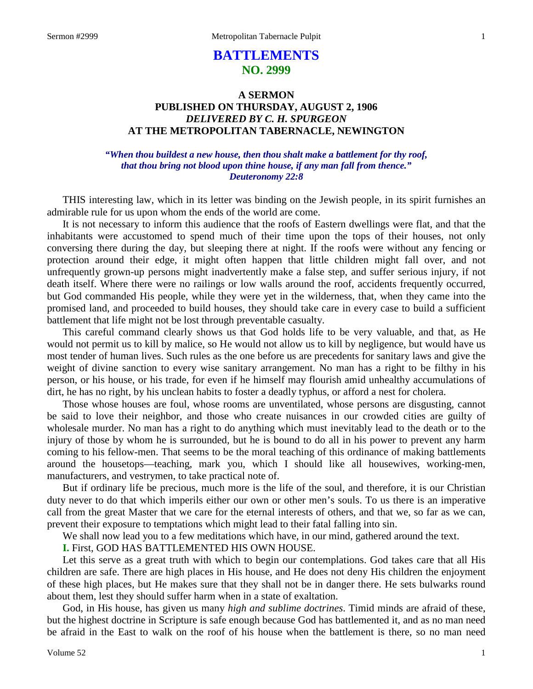# **BATTLEMENTS NO. 2999**

## **A SERMON PUBLISHED ON THURSDAY, AUGUST 2, 1906** *DELIVERED BY C. H. SPURGEON* **AT THE METROPOLITAN TABERNACLE, NEWINGTON**

### *"When thou buildest a new house, then thou shalt make a battlement for thy roof, that thou bring not blood upon thine house, if any man fall from thence." Deuteronomy 22:8*

THIS interesting law, which in its letter was binding on the Jewish people, in its spirit furnishes an admirable rule for us upon whom the ends of the world are come.

It is not necessary to inform this audience that the roofs of Eastern dwellings were flat, and that the inhabitants were accustomed to spend much of their time upon the tops of their houses, not only conversing there during the day, but sleeping there at night. If the roofs were without any fencing or protection around their edge, it might often happen that little children might fall over, and not unfrequently grown-up persons might inadvertently make a false step, and suffer serious injury, if not death itself. Where there were no railings or low walls around the roof, accidents frequently occurred, but God commanded His people, while they were yet in the wilderness, that, when they came into the promised land, and proceeded to build houses, they should take care in every case to build a sufficient battlement that life might not be lost through preventable casualty.

This careful command clearly shows us that God holds life to be very valuable, and that, as He would not permit us to kill by malice, so He would not allow us to kill by negligence, but would have us most tender of human lives. Such rules as the one before us are precedents for sanitary laws and give the weight of divine sanction to every wise sanitary arrangement. No man has a right to be filthy in his person, or his house, or his trade, for even if he himself may flourish amid unhealthy accumulations of dirt, he has no right, by his unclean habits to foster a deadly typhus, or afford a nest for cholera.

Those whose houses are foul, whose rooms are unventilated, whose persons are disgusting, cannot be said to love their neighbor, and those who create nuisances in our crowded cities are guilty of wholesale murder. No man has a right to do anything which must inevitably lead to the death or to the injury of those by whom he is surrounded, but he is bound to do all in his power to prevent any harm coming to his fellow-men. That seems to be the moral teaching of this ordinance of making battlements around the housetops—teaching, mark you, which I should like all housewives, working-men, manufacturers, and vestrymen, to take practical note of.

But if ordinary life be precious, much more is the life of the soul, and therefore, it is our Christian duty never to do that which imperils either our own or other men's souls. To us there is an imperative call from the great Master that we care for the eternal interests of others, and that we, so far as we can, prevent their exposure to temptations which might lead to their fatal falling into sin.

We shall now lead you to a few meditations which have, in our mind, gathered around the text.

**I.** First, GOD HAS BATTLEMENTED HIS OWN HOUSE.

Let this serve as a great truth with which to begin our contemplations. God takes care that all His children are safe. There are high places in His house, and He does not deny His children the enjoyment of these high places, but He makes sure that they shall not be in danger there. He sets bulwarks round about them, lest they should suffer harm when in a state of exaltation.

God, in His house, has given us many *high and sublime doctrines*. Timid minds are afraid of these, but the highest doctrine in Scripture is safe enough because God has battlemented it, and as no man need be afraid in the East to walk on the roof of his house when the battlement is there, so no man need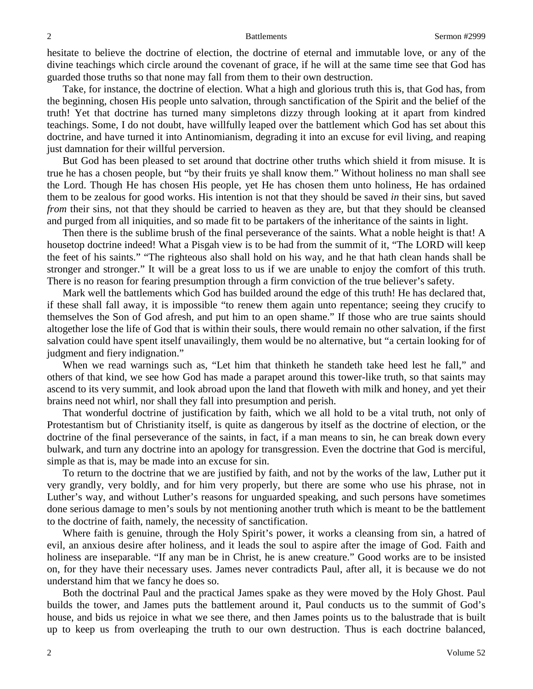hesitate to believe the doctrine of election, the doctrine of eternal and immutable love, or any of the divine teachings which circle around the covenant of grace, if he will at the same time see that God has guarded those truths so that none may fall from them to their own destruction.

Take, for instance, the doctrine of election. What a high and glorious truth this is, that God has, from the beginning, chosen His people unto salvation, through sanctification of the Spirit and the belief of the truth! Yet that doctrine has turned many simpletons dizzy through looking at it apart from kindred teachings. Some, I do not doubt, have willfully leaped over the battlement which God has set about this doctrine, and have turned it into Antinomianism, degrading it into an excuse for evil living, and reaping just damnation for their willful perversion.

But God has been pleased to set around that doctrine other truths which shield it from misuse. It is true he has a chosen people, but "by their fruits ye shall know them." Without holiness no man shall see the Lord. Though He has chosen His people, yet He has chosen them unto holiness, He has ordained them to be zealous for good works. His intention is not that they should be saved *in* their sins, but saved *from* their sins, not that they should be carried to heaven as they are, but that they should be cleansed and purged from all iniquities, and so made fit to be partakers of the inheritance of the saints in light.

Then there is the sublime brush of the final perseverance of the saints. What a noble height is that! A housetop doctrine indeed! What a Pisgah view is to be had from the summit of it, "The LORD will keep the feet of his saints." "The righteous also shall hold on his way, and he that hath clean hands shall be stronger and stronger." It will be a great loss to us if we are unable to enjoy the comfort of this truth. There is no reason for fearing presumption through a firm conviction of the true believer's safety.

Mark well the battlements which God has builded around the edge of this truth! He has declared that, if these shall fall away, it is impossible "to renew them again unto repentance; seeing they crucify to themselves the Son of God afresh, and put him to an open shame." If those who are true saints should altogether lose the life of God that is within their souls, there would remain no other salvation, if the first salvation could have spent itself unavailingly, them would be no alternative, but "a certain looking for of judgment and fiery indignation."

When we read warnings such as, "Let him that thinketh he standeth take heed lest he fall," and others of that kind, we see how God has made a parapet around this tower-like truth, so that saints may ascend to its very summit, and look abroad upon the land that floweth with milk and honey, and yet their brains need not whirl, nor shall they fall into presumption and perish.

That wonderful doctrine of justification by faith, which we all hold to be a vital truth, not only of Protestantism but of Christianity itself, is quite as dangerous by itself as the doctrine of election, or the doctrine of the final perseverance of the saints, in fact, if a man means to sin, he can break down every bulwark, and turn any doctrine into an apology for transgression. Even the doctrine that God is merciful, simple as that is, may be made into an excuse for sin.

To return to the doctrine that we are justified by faith, and not by the works of the law, Luther put it very grandly, very boldly, and for him very properly, but there are some who use his phrase, not in Luther's way, and without Luther's reasons for unguarded speaking, and such persons have sometimes done serious damage to men's souls by not mentioning another truth which is meant to be the battlement to the doctrine of faith, namely, the necessity of sanctification.

Where faith is genuine, through the Holy Spirit's power, it works a cleansing from sin, a hatred of evil, an anxious desire after holiness, and it leads the soul to aspire after the image of God. Faith and holiness are inseparable. "If any man be in Christ, he is anew creature." Good works are to be insisted on, for they have their necessary uses. James never contradicts Paul, after all, it is because we do not understand him that we fancy he does so.

Both the doctrinal Paul and the practical James spake as they were moved by the Holy Ghost. Paul builds the tower, and James puts the battlement around it, Paul conducts us to the summit of God's house, and bids us rejoice in what we see there, and then James points us to the balustrade that is built up to keep us from overleaping the truth to our own destruction. Thus is each doctrine balanced,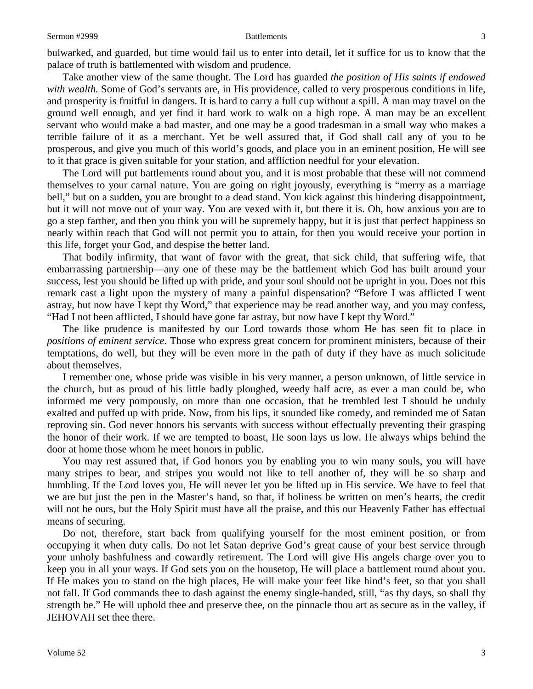bulwarked, and guarded, but time would fail us to enter into detail, let it suffice for us to know that the palace of truth is battlemented with wisdom and prudence.

Take another view of the same thought. The Lord has guarded *the position of His saints if endowed*  with wealth. Some of God's servants are, in His providence, called to very prosperous conditions in life, and prosperity is fruitful in dangers. It is hard to carry a full cup without a spill. A man may travel on the ground well enough, and yet find it hard work to walk on a high rope. A man may be an excellent servant who would make a bad master, and one may be a good tradesman in a small way who makes a terrible failure of it as a merchant. Yet be well assured that, if God shall call any of you to be prosperous, and give you much of this world's goods, and place you in an eminent position, He will see to it that grace is given suitable for your station, and affliction needful for your elevation.

The Lord will put battlements round about you, and it is most probable that these will not commend themselves to your carnal nature. You are going on right joyously, everything is "merry as a marriage bell," but on a sudden, you are brought to a dead stand. You kick against this hindering disappointment, but it will not move out of your way. You are vexed with it, but there it is. Oh, how anxious you are to go a step farther, and then you think you will be supremely happy, but it is just that perfect happiness so nearly within reach that God will not permit you to attain, for then you would receive your portion in this life, forget your God, and despise the better land.

That bodily infirmity, that want of favor with the great, that sick child, that suffering wife, that embarrassing partnership—any one of these may be the battlement which God has built around your success, lest you should be lifted up with pride, and your soul should not be upright in you. Does not this remark cast a light upon the mystery of many a painful dispensation? "Before I was afflicted I went astray, but now have I kept thy Word," that experience may be read another way, and you may confess, "Had I not been afflicted, I should have gone far astray, but now have I kept thy Word."

The like prudence is manifested by our Lord towards those whom He has seen fit to place in *positions of eminent service*. Those who express great concern for prominent ministers, because of their temptations, do well, but they will be even more in the path of duty if they have as much solicitude about themselves.

I remember one, whose pride was visible in his very manner, a person unknown, of little service in the church, but as proud of his little badly ploughed, weedy half acre, as ever a man could be, who informed me very pompously, on more than one occasion, that he trembled lest I should be unduly exalted and puffed up with pride. Now, from his lips, it sounded like comedy, and reminded me of Satan reproving sin. God never honors his servants with success without effectually preventing their grasping the honor of their work. If we are tempted to boast, He soon lays us low. He always whips behind the door at home those whom he meet honors in public.

You may rest assured that, if God honors you by enabling you to win many souls, you will have many stripes to bear, and stripes you would not like to tell another of, they will be so sharp and humbling. If the Lord loves you, He will never let you be lifted up in His service. We have to feel that we are but just the pen in the Master's hand, so that, if holiness be written on men's hearts, the credit will not be ours, but the Holy Spirit must have all the praise, and this our Heavenly Father has effectual means of securing.

Do not, therefore, start back from qualifying yourself for the most eminent position, or from occupying it when duty calls. Do not let Satan deprive God's great cause of your best service through your unholy bashfulness and cowardly retirement. The Lord will give His angels charge over you to keep you in all your ways. If God sets you on the housetop, He will place a battlement round about you. If He makes you to stand on the high places, He will make your feet like hind's feet, so that you shall not fall. If God commands thee to dash against the enemy single-handed, still, "as thy days, so shall thy strength be." He will uphold thee and preserve thee, on the pinnacle thou art as secure as in the valley, if JEHOVAH set thee there.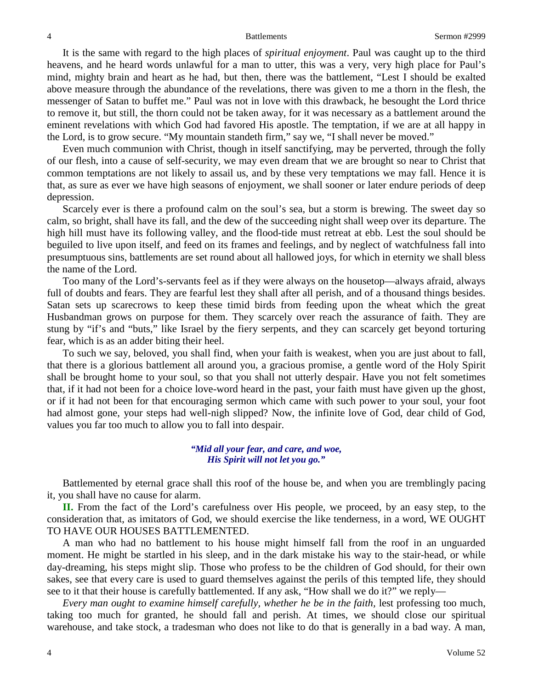It is the same with regard to the high places of *spiritual enjoyment*. Paul was caught up to the third heavens, and he heard words unlawful for a man to utter, this was a very, very high place for Paul's mind, mighty brain and heart as he had, but then, there was the battlement, "Lest I should be exalted above measure through the abundance of the revelations, there was given to me a thorn in the flesh, the messenger of Satan to buffet me." Paul was not in love with this drawback, he besought the Lord thrice to remove it, but still, the thorn could not be taken away, for it was necessary as a battlement around the eminent revelations with which God had favored His apostle. The temptation, if we are at all happy in the Lord, is to grow secure. "My mountain standeth firm," say we, "I shall never be moved."

Even much communion with Christ, though in itself sanctifying, may be perverted, through the folly of our flesh, into a cause of self-security, we may even dream that we are brought so near to Christ that common temptations are not likely to assail us, and by these very temptations we may fall. Hence it is that, as sure as ever we have high seasons of enjoyment, we shall sooner or later endure periods of deep depression.

Scarcely ever is there a profound calm on the soul's sea, but a storm is brewing. The sweet day so calm, so bright, shall have its fall, and the dew of the succeeding night shall weep over its departure. The high hill must have its following valley, and the flood-tide must retreat at ebb. Lest the soul should be beguiled to live upon itself, and feed on its frames and feelings, and by neglect of watchfulness fall into presumptuous sins, battlements are set round about all hallowed joys, for which in eternity we shall bless the name of the Lord.

Too many of the Lord's-servants feel as if they were always on the housetop—always afraid, always full of doubts and fears. They are fearful lest they shall after all perish, and of a thousand things besides. Satan sets up scarecrows to keep these timid birds from feeding upon the wheat which the great Husbandman grows on purpose for them. They scarcely over reach the assurance of faith. They are stung by "if's and "buts," like Israel by the fiery serpents, and they can scarcely get beyond torturing fear, which is as an adder biting their heel.

To such we say, beloved, you shall find, when your faith is weakest, when you are just about to fall, that there is a glorious battlement all around you, a gracious promise, a gentle word of the Holy Spirit shall be brought home to your soul, so that you shall not utterly despair. Have you not felt sometimes that, if it had not been for a choice love-word heard in the past, your faith must have given up the ghost, or if it had not been for that encouraging sermon which came with such power to your soul, your foot had almost gone, your steps had well-nigh slipped? Now, the infinite love of God, dear child of God, values you far too much to allow you to fall into despair.

> *"Mid all your fear, and care, and woe, His Spirit will not let you go."*

Battlemented by eternal grace shall this roof of the house be, and when you are tremblingly pacing it, you shall have no cause for alarm.

**II.** From the fact of the Lord's carefulness over His people, we proceed, by an easy step, to the consideration that, as imitators of God, we should exercise the like tenderness, in a word, WE OUGHT TO HAVE OUR HOUSES BATTLEMENTED.

A man who had no battlement to his house might himself fall from the roof in an unguarded moment. He might be startled in his sleep, and in the dark mistake his way to the stair-head, or while day-dreaming, his steps might slip. Those who profess to be the children of God should, for their own sakes, see that every care is used to guard themselves against the perils of this tempted life, they should see to it that their house is carefully battlemented. If any ask, "How shall we do it?" we reply—

*Every man ought to examine himself carefully, whether he be in the faith,* lest professing too much, taking too much for granted, he should fall and perish. At times, we should close our spiritual warehouse, and take stock, a tradesman who does not like to do that is generally in a bad way. A man,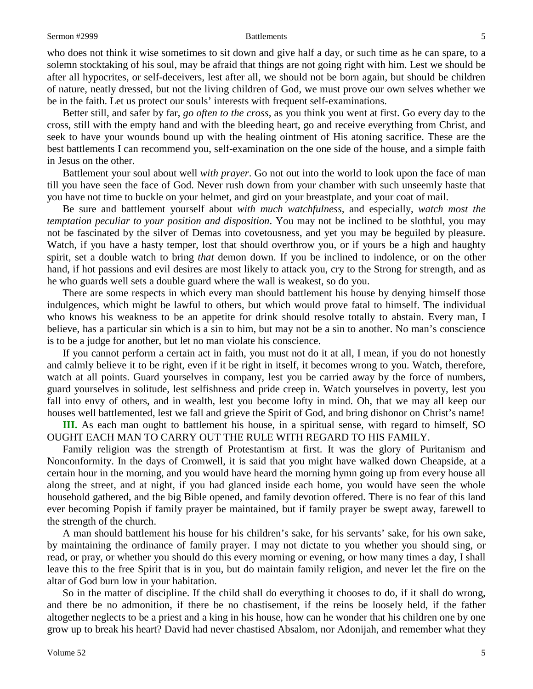who does not think it wise sometimes to sit down and give half a day, or such time as he can spare, to a solemn stocktaking of his soul, may be afraid that things are not going right with him. Lest we should be after all hypocrites, or self-deceivers, lest after all, we should not be born again, but should be children of nature, neatly dressed, but not the living children of God, we must prove our own selves whether we be in the faith. Let us protect our souls' interests with frequent self-examinations.

Better still, and safer by far, *go often to the cross,* as you think you went at first. Go every day to the cross, still with the empty hand and with the bleeding heart, go and receive everything from Christ, and seek to have your wounds bound up with the healing ointment of His atoning sacrifice. These are the best battlements I can recommend you, self-examination on the one side of the house, and a simple faith in Jesus on the other.

Battlement your soul about well *with prayer*. Go not out into the world to look upon the face of man till you have seen the face of God. Never rush down from your chamber with such unseemly haste that you have not time to buckle on your helmet, and gird on your breastplate, and your coat of mail.

Be sure and battlement yourself about *with much watchfulness,* and especially, *watch most the temptation peculiar to your position and disposition*. You may not be inclined to be slothful, you may not be fascinated by the silver of Demas into covetousness, and yet you may be beguiled by pleasure. Watch, if you have a hasty temper, lost that should overthrow you, or if yours be a high and haughty spirit, set a double watch to bring *that* demon down. If you be inclined to indolence, or on the other hand, if hot passions and evil desires are most likely to attack you, cry to the Strong for strength, and as he who guards well sets a double guard where the wall is weakest, so do you.

There are some respects in which every man should battlement his house by denying himself those indulgences, which might be lawful to others, but which would prove fatal to himself. The individual who knows his weakness to be an appetite for drink should resolve totally to abstain. Every man, I believe, has a particular sin which is a sin to him, but may not be a sin to another. No man's conscience is to be a judge for another, but let no man violate his conscience.

If you cannot perform a certain act in faith, you must not do it at all, I mean, if you do not honestly and calmly believe it to be right, even if it be right in itself, it becomes wrong to you. Watch, therefore, watch at all points. Guard yourselves in company, lest you be carried away by the force of numbers, guard yourselves in solitude, lest selfishness and pride creep in. Watch yourselves in poverty, lest you fall into envy of others, and in wealth, lest you become lofty in mind. Oh, that we may all keep our houses well battlemented, lest we fall and grieve the Spirit of God, and bring dishonor on Christ's name!

**III.** As each man ought to battlement his house, in a spiritual sense, with regard to himself, SO OUGHT EACH MAN TO CARRY OUT THE RULE WITH REGARD TO HIS FAMILY.

Family religion was the strength of Protestantism at first. It was the glory of Puritanism and Nonconformity. In the days of Cromwell, it is said that you might have walked down Cheapside, at a certain hour in the morning, and you would have heard the morning hymn going up from every house all along the street, and at night, if you had glanced inside each home, you would have seen the whole household gathered, and the big Bible opened, and family devotion offered. There is no fear of this land ever becoming Popish if family prayer be maintained, but if family prayer be swept away, farewell to the strength of the church.

A man should battlement his house for his children's sake, for his servants' sake, for his own sake, by maintaining the ordinance of family prayer. I may not dictate to you whether you should sing, or read, or pray, or whether you should do this every morning or evening, or how many times a day, I shall leave this to the free Spirit that is in you, but do maintain family religion, and never let the fire on the altar of God burn low in your habitation.

So in the matter of discipline. If the child shall do everything it chooses to do, if it shall do wrong, and there be no admonition, if there be no chastisement, if the reins be loosely held, if the father altogether neglects to be a priest and a king in his house, how can he wonder that his children one by one grow up to break his heart? David had never chastised Absalom, nor Adonijah, and remember what they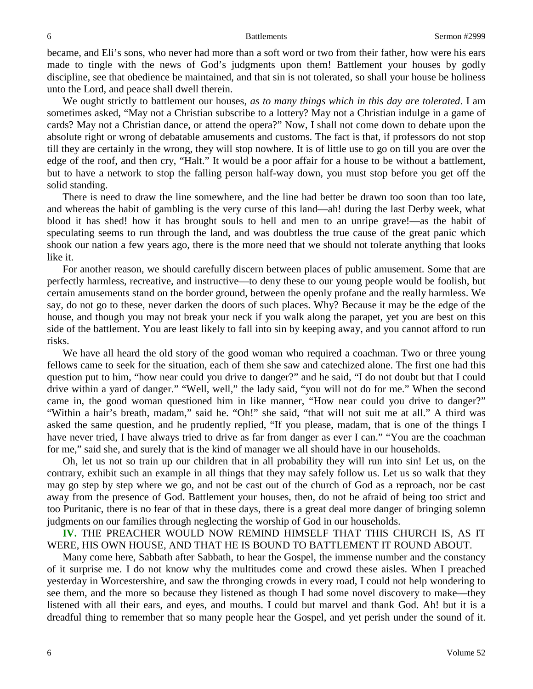became, and Eli's sons, who never had more than a soft word or two from their father, how were his ears made to tingle with the news of God's judgments upon them! Battlement your houses by godly discipline, see that obedience be maintained, and that sin is not tolerated, so shall your house be holiness unto the Lord, and peace shall dwell therein.

We ought strictly to battlement our houses, *as to many things which in this day are tolerated*. I am sometimes asked, "May not a Christian subscribe to a lottery? May not a Christian indulge in a game of cards? May not a Christian dance, or attend the opera?" Now, I shall not come down to debate upon the absolute right or wrong of debatable amusements and customs. The fact is that, if professors do not stop till they are certainly in the wrong, they will stop nowhere. It is of little use to go on till you are over the edge of the roof, and then cry, "Halt." It would be a poor affair for a house to be without a battlement, but to have a network to stop the falling person half-way down, you must stop before you get off the solid standing.

There is need to draw the line somewhere, and the line had better be drawn too soon than too late, and whereas the habit of gambling is the very curse of this land—ah! during the last Derby week, what blood it has shed! how it has brought souls to hell and men to an unripe grave!—as the habit of speculating seems to run through the land, and was doubtless the true cause of the great panic which shook our nation a few years ago, there is the more need that we should not tolerate anything that looks like it.

For another reason, we should carefully discern between places of public amusement. Some that are perfectly harmless, recreative, and instructive—to deny these to our young people would be foolish, but certain amusements stand on the border ground, between the openly profane and the really harmless. We say, do not go to these, never darken the doors of such places. Why? Because it may be the edge of the house, and though you may not break your neck if you walk along the parapet, yet you are best on this side of the battlement. You are least likely to fall into sin by keeping away, and you cannot afford to run risks.

We have all heard the old story of the good woman who required a coachman. Two or three young fellows came to seek for the situation, each of them she saw and catechized alone. The first one had this question put to him, "how near could you drive to danger?" and he said, "I do not doubt but that I could drive within a yard of danger." "Well, well," the lady said, "you will not do for me." When the second came in, the good woman questioned him in like manner, "How near could you drive to danger?" "Within a hair's breath, madam," said he. "Oh!" she said, "that will not suit me at all." A third was asked the same question, and he prudently replied, "If you please, madam, that is one of the things I have never tried, I have always tried to drive as far from danger as ever I can." "You are the coachman for me," said she, and surely that is the kind of manager we all should have in our households.

Oh, let us not so train up our children that in all probability they will run into sin! Let us, on the contrary, exhibit such an example in all things that they may safely follow us. Let us so walk that they may go step by step where we go, and not be cast out of the church of God as a reproach, nor be cast away from the presence of God. Battlement your houses, then, do not be afraid of being too strict and too Puritanic, there is no fear of that in these days, there is a great deal more danger of bringing solemn judgments on our families through neglecting the worship of God in our households.

**IV.** THE PREACHER WOULD NOW REMIND HIMSELF THAT THIS CHURCH IS, AS IT WERE, HIS OWN HOUSE, AND THAT HE IS BOUND TO BATTLEMENT IT ROUND ABOUT.

Many come here, Sabbath after Sabbath, to hear the Gospel, the immense number and the constancy of it surprise me. I do not know why the multitudes come and crowd these aisles. When I preached yesterday in Worcestershire, and saw the thronging crowds in every road, I could not help wondering to see them, and the more so because they listened as though I had some novel discovery to make—they listened with all their ears, and eyes, and mouths. I could but marvel and thank God. Ah! but it is a dreadful thing to remember that so many people hear the Gospel, and yet perish under the sound of it.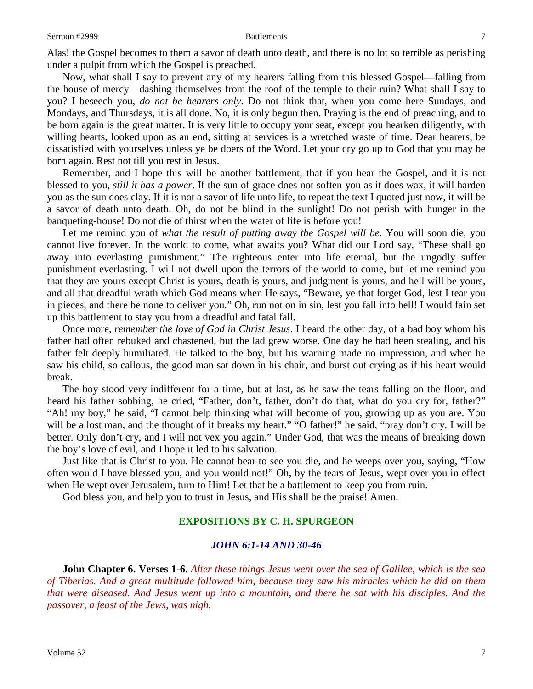Alas! the Gospel becomes to them a savor of death unto death, and there is no lot so terrible as perishing under a pulpit from which the Gospel is preached.

Now, what shall I say to prevent any of my hearers falling from this blessed Gospel—falling from the house of mercy—dashing themselves from the roof of the temple to their ruin? What shall I say to you? I beseech you, *do not be hearers only*. Do not think that, when you come here Sundays, and Mondays, and Thursdays, it is all done. No, it is only begun then. Praying is the end of preaching, and to be born again is the great matter. It is very little to occupy your seat, except you hearken diligently, with willing hearts, looked upon as an end, sitting at services is a wretched waste of time. Dear hearers, be dissatisfied with yourselves unless ye be doers of the Word. Let your cry go up to God that you may be born again. Rest not till you rest in Jesus.

Remember, and I hope this will be another battlement, that if you hear the Gospel, and it is not blessed to you, *still it has a power*. If the sun of grace does not soften you as it does wax, it will harden you as the sun does clay. If it is not a savor of life unto life, to repeat the text I quoted just now, it will be a savor of death unto death. Oh, do not be blind in the sunlight! Do not perish with hunger in the banqueting-house! Do not die of thirst when the water of life is before you!

Let me remind you of *what the result of putting away the Gospel will be.* You will soon die, you cannot live forever. In the world to come, what awaits you? What did our Lord say, "These shall go away into everlasting punishment." The righteous enter into life eternal, but the ungodly suffer punishment everlasting. I will not dwell upon the terrors of the world to come, but let me remind you that they are yours except Christ is yours, death is yours, and judgment is yours, and hell will be yours, and all that dreadful wrath which God means when He says, "Beware, ye that forget God, lest I tear you in pieces, and there be none to deliver you." Oh, run not on in sin, lest you fall into hell! I would fain set up this battlement to stay you from a dreadful and fatal fall.

Once more, *remember the love of God in Christ Jesus*. I heard the other day, of a bad boy whom his father had often rebuked and chastened, but the lad grew worse. One day he had been stealing, and his father felt deeply humiliated. He talked to the boy, but his warning made no impression, and when he saw his child, so callous, the good man sat down in his chair, and burst out crying as if his heart would break.

The boy stood very indifferent for a time, but at last, as he saw the tears falling on the floor, and heard his father sobbing, he cried, "Father, don't, father, don't do that, what do you cry for, father?" "Ah! my boy," he said, "I cannot help thinking what will become of you, growing up as you are. You will be a lost man, and the thought of it breaks my heart." "O father!" he said, "pray don't cry. I will be better. Only don't cry, and I will not vex you again." Under God, that was the means of breaking down the boy's love of evil, and I hope it led to his salvation.

Just like that is Christ to you. He cannot bear to see you die, and he weeps over you, saying, "How often would I have blessed you, and you would not!" Oh, by the tears of Jesus, wept over you in effect when He wept over Jerusalem, turn to Him! Let that be a battlement to keep you from ruin.

God bless you, and help you to trust in Jesus, and His shall be the praise! Amen.

### **EXPOSITIONS BY C. H. SPURGEON**

### *JOHN 6:1-14 AND 30-46*

**John Chapter 6. Verses 1-6.** *After these things Jesus went over the sea of Galilee, which is the sea of Tiberias. And a great multitude followed him, because they saw his miracles which he did on them that were diseased. And Jesus went up into a mountain, and there he sat with his disciples. And the passover, a feast of the Jews, was nigh.*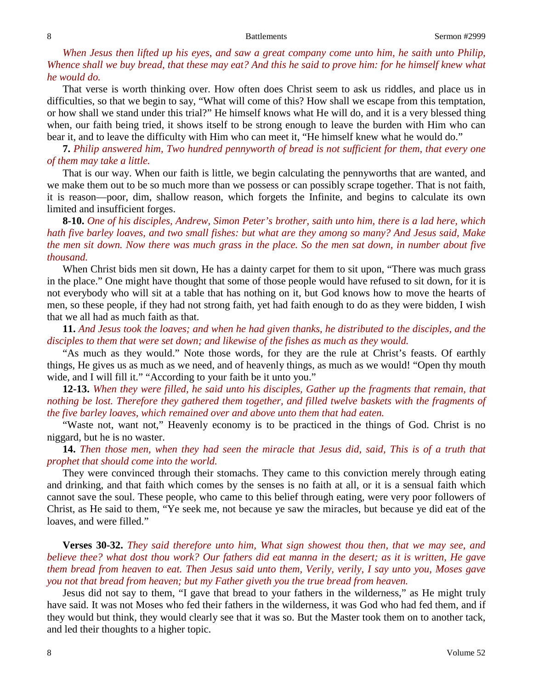*When Jesus then lifted up his eyes, and saw a great company come unto him, he saith unto Philip, Whence shall we buy bread, that these may eat? And this he said to prove him: for he himself knew what he would do.*

That verse is worth thinking over. How often does Christ seem to ask us riddles, and place us in difficulties, so that we begin to say, "What will come of this? How shall we escape from this temptation, or how shall we stand under this trial?" He himself knows what He will do, and it is a very blessed thing when, our faith being tried, it shows itself to be strong enough to leave the burden with Him who can bear it, and to leave the difficulty with Him who can meet it, "He himself knew what he would do."

**7.** *Philip answered him, Two hundred pennyworth of bread is not sufficient for them, that every one of them may take a little.*

That is our way. When our faith is little, we begin calculating the pennyworths that are wanted, and we make them out to be so much more than we possess or can possibly scrape together. That is not faith, it is reason—poor, dim, shallow reason, which forgets the Infinite, and begins to calculate its own limited and insufficient forges.

**8-10.** *One of his disciples, Andrew, Simon Peter's brother, saith unto him, there is a lad here, which hath five barley loaves, and two small fishes: but what are they among so many? And Jesus said, Make the men sit down. Now there was much grass in the place. So the men sat down, in number about five thousand.*

When Christ bids men sit down, He has a dainty carpet for them to sit upon, "There was much grass in the place." One might have thought that some of those people would have refused to sit down, for it is not everybody who will sit at a table that has nothing on it, but God knows how to move the hearts of men, so these people, if they had not strong faith, yet had faith enough to do as they were bidden, I wish that we all had as much faith as that.

**11.** *And Jesus took the loaves; and when he had given thanks, he distributed to the disciples, and the disciples to them that were set down; and likewise of the fishes as much as they would.*

"As much as they would." Note those words, for they are the rule at Christ's feasts. Of earthly things, He gives us as much as we need, and of heavenly things, as much as we would! "Open thy mouth wide, and I will fill it." "According to your faith be it unto you."

**12-13.** *When they were filled, he said unto his disciples, Gather up the fragments that remain, that nothing be lost. Therefore they gathered them together, and filled twelve baskets with the fragments of the five barley loaves, which remained over and above unto them that had eaten.*

"Waste not, want not," Heavenly economy is to be practiced in the things of God. Christ is no niggard, but he is no waster.

**14.** *Then those men, when they had seen the miracle that Jesus did, said, This is of a truth that prophet that should come into the world.*

They were convinced through their stomachs. They came to this conviction merely through eating and drinking, and that faith which comes by the senses is no faith at all, or it is a sensual faith which cannot save the soul. These people, who came to this belief through eating, were very poor followers of Christ, as He said to them, "Ye seek me, not because ye saw the miracles, but because ye did eat of the loaves, and were filled."

**Verses 30-32.** *They said therefore unto him, What sign showest thou then, that we may see, and believe thee? what dost thou work? Our fathers did eat manna in the desert; as it is written, He gave them bread from heaven to eat. Then Jesus said unto them, Verily, verily, I say unto you, Moses gave you not that bread from heaven; but my Father giveth you the true bread from heaven.*

Jesus did not say to them, "I gave that bread to your fathers in the wilderness," as He might truly have said. It was not Moses who fed their fathers in the wilderness, it was God who had fed them, and if they would but think, they would clearly see that it was so. But the Master took them on to another tack, and led their thoughts to a higher topic.